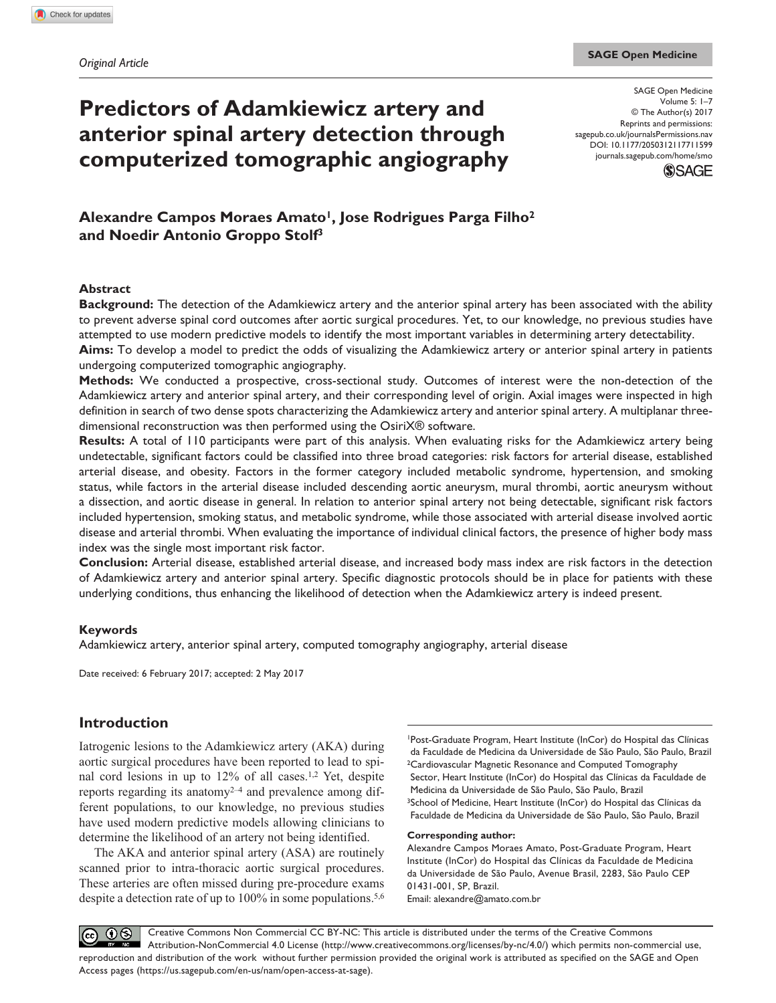# **Predictors of Adamkiewicz artery and anterior spinal artery detection through computerized tomographic angiography**

DOI: 10.1177/2050312117711599 SAGE Open Medicine Volume 5: 1–7 © The Author(s) 2017 Reprints and permissions: [sagepub.co.uk/journalsPermissions.nav](https://uk.sagepub.com/en-gb/journals-permissions) [journals.sagepub.com/home/smo](https://journals.sagepub.com/home/smo)



## Alexandre Campos Moraes Amato<sup>1</sup>, Jose Rodrigues Parga Filho<sup>2</sup> **and Noedir Antonio Groppo Stolf3**

#### **Abstract**

**Background:** The detection of the Adamkiewicz artery and the anterior spinal artery has been associated with the ability to prevent adverse spinal cord outcomes after aortic surgical procedures. Yet, to our knowledge, no previous studies have attempted to use modern predictive models to identify the most important variables in determining artery detectability.

**Aims:** To develop a model to predict the odds of visualizing the Adamkiewicz artery or anterior spinal artery in patients undergoing computerized tomographic angiography.

**Methods:** We conducted a prospective, cross-sectional study. Outcomes of interest were the non-detection of the Adamkiewicz artery and anterior spinal artery, and their corresponding level of origin. Axial images were inspected in high definition in search of two dense spots characterizing the Adamkiewicz artery and anterior spinal artery. A multiplanar threedimensional reconstruction was then performed using the OsiriX® software.

**Results:** A total of 110 participants were part of this analysis. When evaluating risks for the Adamkiewicz artery being undetectable, significant factors could be classified into three broad categories: risk factors for arterial disease, established arterial disease, and obesity. Factors in the former category included metabolic syndrome, hypertension, and smoking status, while factors in the arterial disease included descending aortic aneurysm, mural thrombi, aortic aneurysm without a dissection, and aortic disease in general. In relation to anterior spinal artery not being detectable, significant risk factors included hypertension, smoking status, and metabolic syndrome, while those associated with arterial disease involved aortic disease and arterial thrombi. When evaluating the importance of individual clinical factors, the presence of higher body mass index was the single most important risk factor.

**Conclusion:** Arterial disease, established arterial disease, and increased body mass index are risk factors in the detection of Adamkiewicz artery and anterior spinal artery. Specific diagnostic protocols should be in place for patients with these underlying conditions, thus enhancing the likelihood of detection when the Adamkiewicz artery is indeed present.

#### **Keywords**

Adamkiewicz artery, anterior spinal artery, computed tomography angiography, arterial disease

Date received: 6 February 2017; accepted: 2 May 2017

## **Introduction**

Iatrogenic lesions to the Adamkiewicz artery (AKA) during aortic surgical procedures have been reported to lead to spinal cord lesions in up to 12% of all cases.1,2 Yet, despite reports regarding its anatomy $2^{-4}$  and prevalence among different populations, to our knowledge, no previous studies have used modern predictive models allowing clinicians to determine the likelihood of an artery not being identified.

The AKA and anterior spinal artery (ASA) are routinely scanned prior to intra-thoracic aortic surgical procedures. These arteries are often missed during pre-procedure exams despite a detection rate of up to 100% in some populations.<sup>5,6</sup>

1Post-Graduate Program, Heart Institute (InCor) do Hospital das Clínicas da Faculdade de Medicina da Universidade de São Paulo, São Paulo, Brazil 2Cardiovascular Magnetic Resonance and Computed Tomography Sector, Heart Institute (InCor) do Hospital das Clínicas da Faculdade de Medicina da Universidade de São Paulo, São Paulo, Brazil 3School of Medicine, Heart Institute (InCor) do Hospital das Clínicas da Faculdade de Medicina da Universidade de São Paulo, São Paulo, Brazil

#### **Corresponding author:**

Alexandre Campos Moraes Amato, Post-Graduate Program, Heart Institute (InCor) do Hospital das Clínicas da Faculdade de Medicina da Universidade de São Paulo, Avenue Brasil, 2283, São Paulo CEP 01431-001, SP, Brazil. Email: [alexandre@amato.com.br](mailto:alexandre@amato.com.br)

 $\overline{0}$ Creative Commons Non Commercial CC BY-NC: This article is distributed under the terms of the Creative Commons  $(cc)$ Attribution-NonCommercial 4.0 License (http://www.creativecommons.org/licenses/by-nc/4.0/) which permits non-commercial use, reproduction and distribution of the work without further permission provided the original work is attributed as specified on the SAGE and Open Access pages (https://us.sagepub.com/en-us/nam/open-access-at-sage).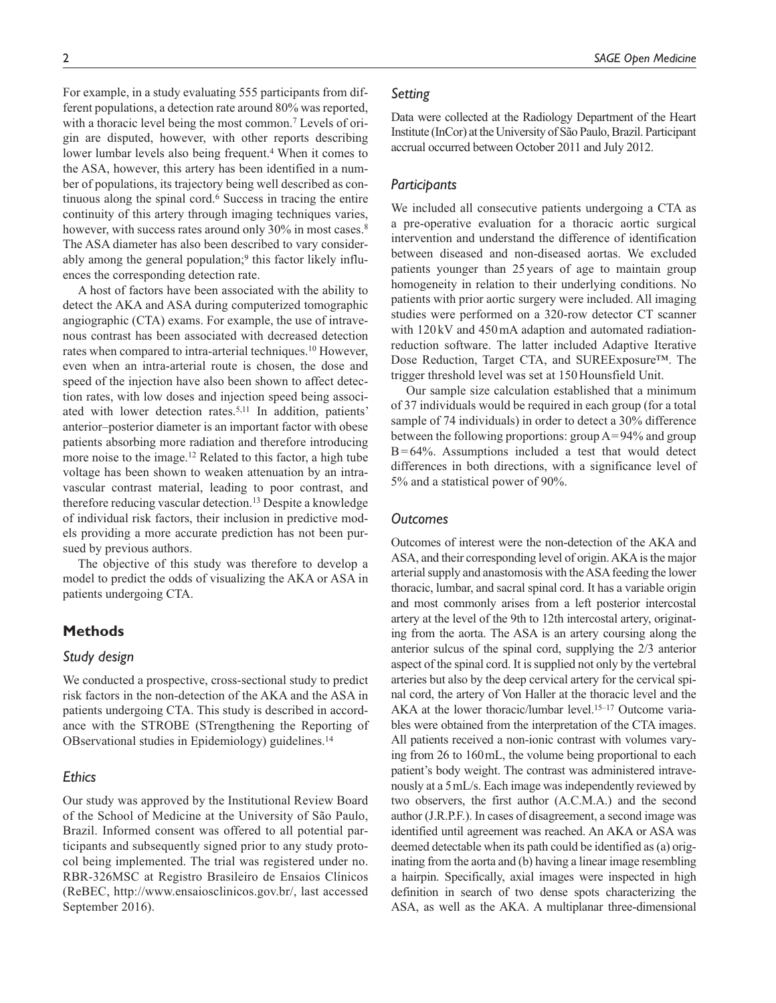For example, in a study evaluating 555 participants from different populations, a detection rate around 80% was reported, with a thoracic level being the most common.<sup>7</sup> Levels of origin are disputed, however, with other reports describing lower lumbar levels also being frequent.<sup>4</sup> When it comes to the ASA, however, this artery has been identified in a number of populations, its trajectory being well described as continuous along the spinal cord.6 Success in tracing the entire continuity of this artery through imaging techniques varies, however, with success rates around only 30% in most cases.<sup>8</sup> The ASA diameter has also been described to vary considerably among the general population;<sup>9</sup> this factor likely influences the corresponding detection rate.

A host of factors have been associated with the ability to detect the AKA and ASA during computerized tomographic angiographic (CTA) exams. For example, the use of intravenous contrast has been associated with decreased detection rates when compared to intra-arterial techniques.10 However, even when an intra-arterial route is chosen, the dose and speed of the injection have also been shown to affect detection rates, with low doses and injection speed being associated with lower detection rates.5,11 In addition, patients' anterior–posterior diameter is an important factor with obese patients absorbing more radiation and therefore introducing more noise to the image.12 Related to this factor, a high tube voltage has been shown to weaken attenuation by an intravascular contrast material, leading to poor contrast, and therefore reducing vascular detection.13 Despite a knowledge of individual risk factors, their inclusion in predictive models providing a more accurate prediction has not been pursued by previous authors.

The objective of this study was therefore to develop a model to predict the odds of visualizing the AKA or ASA in patients undergoing CTA.

## **Methods**

## *Study design*

We conducted a prospective, cross-sectional study to predict risk factors in the non-detection of the AKA and the ASA in patients undergoing CTA. This study is described in accordance with the STROBE (STrengthening the Reporting of OBservational studies in Epidemiology) guidelines.14

## *Ethics*

Our study was approved by the Institutional Review Board of the School of Medicine at the University of São Paulo, Brazil. Informed consent was offered to all potential participants and subsequently signed prior to any study protocol being implemented. The trial was registered under no. RBR-326MSC at Registro Brasileiro de Ensaios Clínicos (ReBEC, [http://www.ensaiosclinicos.gov.br/,](http://www.ensaiosclinicos.gov.br/) last accessed September 2016).

## *Setting*

Data were collected at the Radiology Department of the Heart Institute (InCor) at the University of São Paulo, Brazil. Participant accrual occurred between October 2011 and July 2012.

## *Participants*

We included all consecutive patients undergoing a CTA as a pre-operative evaluation for a thoracic aortic surgical intervention and understand the difference of identification between diseased and non-diseased aortas. We excluded patients younger than 25years of age to maintain group homogeneity in relation to their underlying conditions. No patients with prior aortic surgery were included. All imaging studies were performed on a 320-row detector CT scanner with  $120 \text{kV}$  and  $450 \text{mA}$  adaption and automated radiationreduction software. The latter included Adaptive Iterative Dose Reduction, Target CTA, and SUREExposure™. The trigger threshold level was set at 150Hounsfield Unit.

Our sample size calculation established that a minimum of 37 individuals would be required in each group (for a total sample of 74 individuals) in order to detect a 30% difference between the following proportions: group A=94% and group  $B=64%$ . Assumptions included a test that would detect differences in both directions, with a significance level of 5% and a statistical power of 90%.

#### *Outcomes*

Outcomes of interest were the non-detection of the AKA and ASA, and their corresponding level of origin. AKA is the major arterial supply and anastomosis with the ASA feeding the lower thoracic, lumbar, and sacral spinal cord. It has a variable origin and most commonly arises from a left posterior intercostal artery at the level of the 9th to 12th intercostal artery, originating from the aorta. The ASA is an artery coursing along the anterior sulcus of the spinal cord, supplying the 2/3 anterior aspect of the spinal cord. It is supplied not only by the vertebral arteries but also by the deep cervical artery for the cervical spinal cord, the artery of Von Haller at the thoracic level and the AKA at the lower thoracic/lumbar level.15–17 Outcome variables were obtained from the interpretation of the CTA images. All patients received a non-ionic contrast with volumes varying from 26 to 160mL, the volume being proportional to each patient's body weight. The contrast was administered intravenously at a 5mL/s. Each image was independently reviewed by two observers, the first author (A.C.M.A.) and the second author (J.R.P.F.). In cases of disagreement, a second image was identified until agreement was reached. An AKA or ASA was deemed detectable when its path could be identified as (a) originating from the aorta and (b) having a linear image resembling a hairpin. Specifically, axial images were inspected in high definition in search of two dense spots characterizing the ASA, as well as the AKA. A multiplanar three-dimensional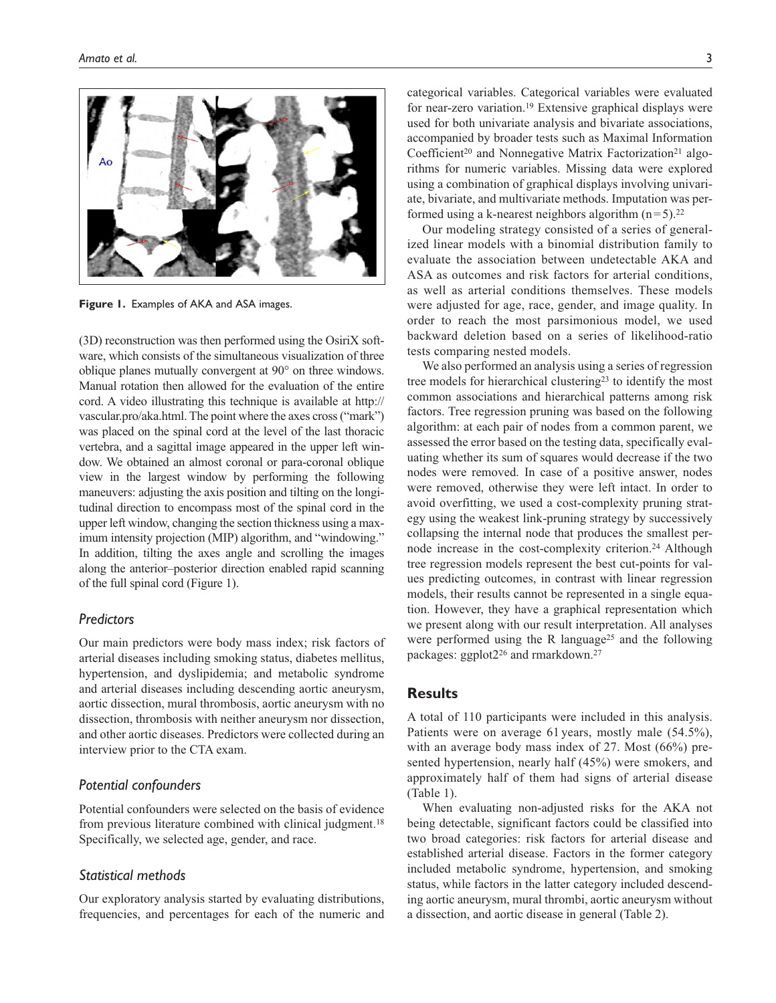

**Figure 1.** Examples of AKA and ASA images.

(3D) reconstruction was then performed using the OsiriX software, which consists of the simultaneous visualization of three oblique planes mutually convergent at 90° on three windows. Manual rotation then allowed for the evaluation of the entire cord. A video illustrating this technique is available at [http://](http://vascular.pro/aka.html) [vascular.pro/aka.html](http://vascular.pro/aka.html). The point where the axes cross ("mark") was placed on the spinal cord at the level of the last thoracic vertebra, and a sagittal image appeared in the upper left window. We obtained an almost coronal or para-coronal oblique view in the largest window by performing the following maneuvers: adjusting the axis position and tilting on the longitudinal direction to encompass most of the spinal cord in the upper left window, changing the section thickness using a maximum intensity projection (MIP) algorithm, and "windowing." In addition, tilting the axes angle and scrolling the images along the anterior–posterior direction enabled rapid scanning of the full spinal cord (Figure 1).

## *Predictors*

Our main predictors were body mass index; risk factors of arterial diseases including smoking status, diabetes mellitus, hypertension, and dyslipidemia; and metabolic syndrome and arterial diseases including descending aortic aneurysm, aortic dissection, mural thrombosis, aortic aneurysm with no dissection, thrombosis with neither aneurysm nor dissection, and other aortic diseases. Predictors were collected during an interview prior to the CTA exam.

## *Potential confounders*

Potential confounders were selected on the basis of evidence from previous literature combined with clinical judgment.18 Specifically, we selected age, gender, and race.

## *Statistical methods*

Our exploratory analysis started by evaluating distributions, frequencies, and percentages for each of the numeric and categorical variables. Categorical variables were evaluated for near-zero variation.<sup>19</sup> Extensive graphical displays were used for both univariate analysis and bivariate associations, accompanied by broader tests such as Maximal Information Coefficient<sup>20</sup> and Nonnegative Matrix Factorization<sup>21</sup> algorithms for numeric variables. Missing data were explored using a combination of graphical displays involving univariate, bivariate, and multivariate methods. Imputation was performed using a k-nearest neighbors algorithm  $(n=5)$ .<sup>22</sup>

Our modeling strategy consisted of a series of generalized linear models with a binomial distribution family to evaluate the association between undetectable AKA and ASA as outcomes and risk factors for arterial conditions, as well as arterial conditions themselves. These models were adjusted for age, race, gender, and image quality. In order to reach the most parsimonious model, we used backward deletion based on a series of likelihood-ratio tests comparing nested models.

We also performed an analysis using a series of regression tree models for hierarchical clustering<sup>23</sup> to identify the most common associations and hierarchical patterns among risk factors. Tree regression pruning was based on the following algorithm: at each pair of nodes from a common parent, we assessed the error based on the testing data, specifically evaluating whether its sum of squares would decrease if the two nodes were removed. In case of a positive answer, nodes were removed, otherwise they were left intact. In order to avoid overfitting, we used a cost-complexity pruning strategy using the weakest link-pruning strategy by successively collapsing the internal node that produces the smallest pernode increase in the cost-complexity criterion.<sup>24</sup> Although tree regression models represent the best cut-points for values predicting outcomes, in contrast with linear regression models, their results cannot be represented in a single equation. However, they have a graphical representation which we present along with our result interpretation. All analyses were performed using the R language<sup>25</sup> and the following packages: ggplot2<sup>26</sup> and rmarkdown.<sup>27</sup>

## **Results**

A total of 110 participants were included in this analysis. Patients were on average 61 years, mostly male (54.5%), with an average body mass index of 27. Most (66%) presented hypertension, nearly half (45%) were smokers, and approximately half of them had signs of arterial disease (Table 1).

When evaluating non-adjusted risks for the AKA not being detectable, significant factors could be classified into two broad categories: risk factors for arterial disease and established arterial disease. Factors in the former category included metabolic syndrome, hypertension, and smoking status, while factors in the latter category included descending aortic aneurysm, mural thrombi, aortic aneurysm without a dissection, and aortic disease in general (Table 2).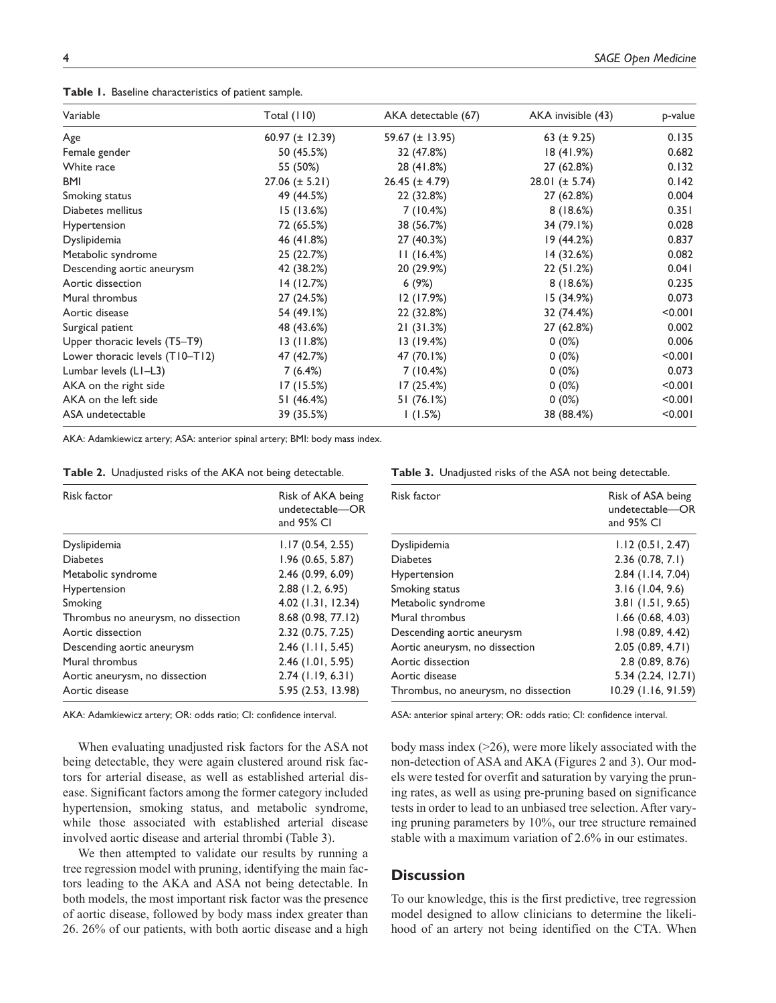**Table 1.** Baseline characteristics of patient sample.

| Variable                        | Total $(110)$       | AKA detectable (67) | AKA invisible (43)  | p-value |
|---------------------------------|---------------------|---------------------|---------------------|---------|
| Age                             | 60.97 $(\pm$ 12.39) | 59.67 (± 13.95)     | 63 ( $\pm$ 9.25)    | 0.135   |
| Female gender                   | 50 (45.5%)          | 32 (47.8%)          | 18(41.9%)           | 0.682   |
| White race                      | 55 (50%)            | 28 (41.8%)          | 27 (62.8%)          | 0.132   |
| BMI                             | $27.06 (\pm 5.21)$  | $26.45 (\pm 4.79)$  | 28.01 ( $\pm$ 5.74) | 0.142   |
| Smoking status                  | 49 (44.5%)          | 22 (32.8%)          | 27 (62.8%)          | 0.004   |
| Diabetes mellitus               | 15(13.6%)           | 7(10.4%)            | 8(18.6%)            | 0.351   |
| <b>Hypertension</b>             | 72 (65.5%)          | 38 (56.7%)          | 34 (79.1%)          | 0.028   |
| Dyslipidemia                    | 46 (41.8%)          | 27 (40.3%)          | 19(44.2%)           | 0.837   |
| Metabolic syndrome              | 25 (22.7%)          | 11(16.4%)           | 14 (32.6%)          | 0.082   |
| Descending aortic aneurysm      | 42 (38.2%)          | 20 (29.9%)          | 22(51.2%)           | 0.041   |
| Aortic dissection               | 14(12.7%)           | 6(9%)               | 8(18.6%)            | 0.235   |
| Mural thrombus                  | 27 (24.5%)          | 12 (17.9%)          | 15(34.9%)           | 0.073   |
| Aortic disease                  | 54 (49.1%)          | 22 (32.8%)          | 32 (74.4%)          | < 0.001 |
| Surgical patient                | 48 (43.6%)          | 21(31.3%)           | 27 (62.8%)          | 0.002   |
| Upper thoracic levels (T5-T9)   | 13(11.8%)           | 13 (19.4%)          | $0(0\%)$            | 0.006   |
| Lower thoracic levels (T10-T12) | 47 (42.7%)          | 47 (70.1%)          | $0(0\%)$            | < 0.001 |
| Lumbar levels (LI-L3)           | 7(6.4%)             | 7(10.4%)            | $0(0\%)$            | 0.073   |
| AKA on the right side           | 17 (15.5%)          | 17 (25.4%)          | $0(0\%)$            | < 0.001 |
| AKA on the left side            | 51 (46.4%)          | 51 (76.1%)          | $0(0\%)$            | < 0.001 |
| ASA undetectable                | 39 (35.5%)          | 1(1.5%)             | 38 (88.4%)          | < 0.001 |

AKA: Adamkiewicz artery; ASA: anterior spinal artery; BMI: body mass index.

|  | Table 2. Unadjusted risks of the AKA not being detectable. |  |  |  |  |
|--|------------------------------------------------------------|--|--|--|--|
|--|------------------------------------------------------------|--|--|--|--|

| Risk factor                         | Risk of AKA being<br>undetectable—OR<br>and $95\%$ CI |
|-------------------------------------|-------------------------------------------------------|
| Dyslipidemia                        | 1.17(0.54, 2.55)                                      |
| <b>Diabetes</b>                     | 1.96(0.65, 5.87)                                      |
| Metabolic syndrome                  | 2.46 (0.99, 6.09)                                     |
| Hypertension                        | $2.88$ (1.2, 6.95)                                    |
| Smoking                             | 4.02 (1.31, 12.34)                                    |
| Thrombus no aneurysm, no dissection | 8.68 (0.98, 77.12)                                    |
| Aortic dissection                   | 2.32(0.75, 7.25)                                      |
| Descending aortic aneurysm          | $2.46$ (1.11, 5.45)                                   |
| Mural thrombus                      | $2.46$ (1.01, 5.95)                                   |
| Aortic aneurysm, no dissection      | $2.74$ (1.19, 6.31)                                   |
| Aortic disease                      | 5.95 (2.53, 13.98)                                    |

AKA: Adamkiewicz artery; OR: odds ratio; CI: confidence interval.

When evaluating unadjusted risk factors for the ASA not being detectable, they were again clustered around risk factors for arterial disease, as well as established arterial disease. Significant factors among the former category included hypertension, smoking status, and metabolic syndrome, while those associated with established arterial disease involved aortic disease and arterial thrombi (Table 3).

We then attempted to validate our results by running a tree regression model with pruning, identifying the main factors leading to the AKA and ASA not being detectable. In both models, the most important risk factor was the presence of aortic disease, followed by body mass index greater than 26. 26% of our patients, with both aortic disease and a high

|  | Table 3. Unadjusted risks of the ASA not being detectable. |  |  |  |  |  |  |
|--|------------------------------------------------------------|--|--|--|--|--|--|
|--|------------------------------------------------------------|--|--|--|--|--|--|

| Risk factor                          | Risk of ASA being<br>undetectable-OR<br>and 95% CI |
|--------------------------------------|----------------------------------------------------|
| Dyslipidemia                         | 1.12(0.51, 2.47)                                   |
| <b>Diabetes</b>                      | 2.36(0.78, 7.1)                                    |
| Hypertension                         | $2.84$ (1.14, 7.04)                                |
| Smoking status                       | 3.16(1.04, 9.6)                                    |
| Metabolic syndrome                   | $3.81$ (1.51, 9.65)                                |
| Mural thrombus                       | $1.66$ (0.68, 4.03)                                |
| Descending aortic aneurysm           | 1.98(0.89, 4.42)                                   |
| Aortic aneurysm, no dissection       | 2.05(0.89, 4.71)                                   |
| Aortic dissection                    | 2.8(0.89, 8.76)                                    |
| Aortic disease                       | 5.34 (2.24, 12.71)                                 |
| Thrombus, no aneurysm, no dissection | 10.29 (1.16, 91.59)                                |

ASA: anterior spinal artery; OR: odds ratio; CI: confidence interval.

body mass index (>26), were more likely associated with the non-detection of ASA and AKA (Figures 2 and 3). Our models were tested for overfit and saturation by varying the pruning rates, as well as using pre-pruning based on significance tests in order to lead to an unbiased tree selection. After varying pruning parameters by 10%, our tree structure remained stable with a maximum variation of 2.6% in our estimates.

## **Discussion**

To our knowledge, this is the first predictive, tree regression model designed to allow clinicians to determine the likelihood of an artery not being identified on the CTA. When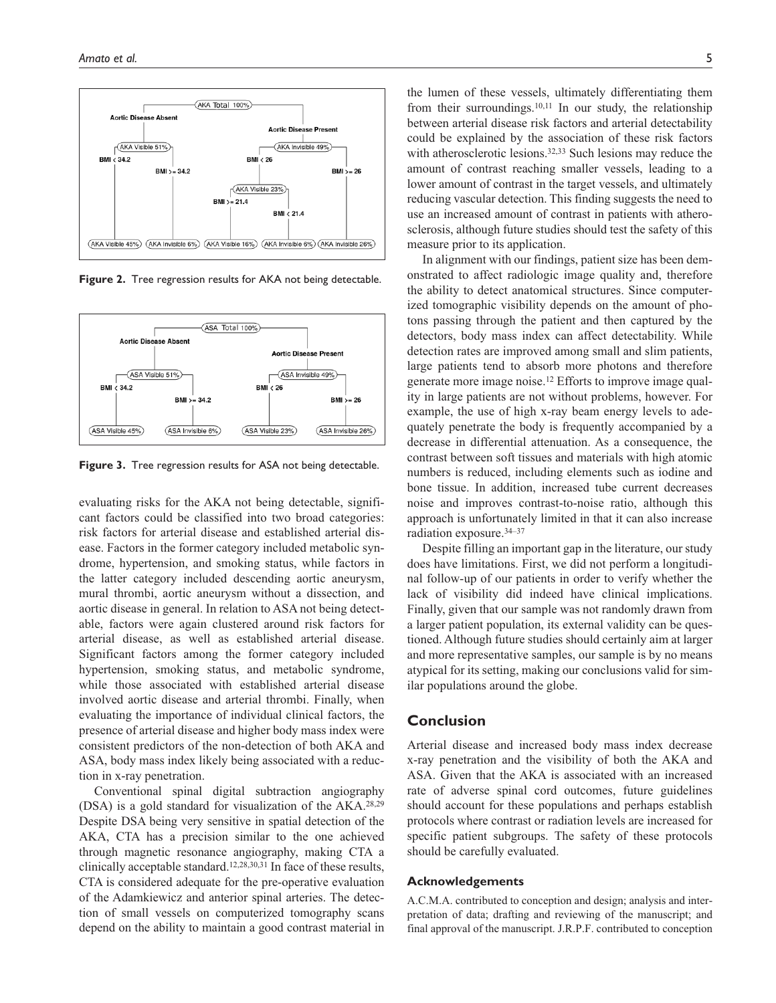

**Figure 2.** Tree regression results for AKA not being detectable.



**Figure 3.** Tree regression results for ASA not being detectable.

evaluating risks for the AKA not being detectable, significant factors could be classified into two broad categories: risk factors for arterial disease and established arterial disease. Factors in the former category included metabolic syndrome, hypertension, and smoking status, while factors in the latter category included descending aortic aneurysm, mural thrombi, aortic aneurysm without a dissection, and aortic disease in general. In relation to ASA not being detectable, factors were again clustered around risk factors for arterial disease, as well as established arterial disease. Significant factors among the former category included hypertension, smoking status, and metabolic syndrome, while those associated with established arterial disease involved aortic disease and arterial thrombi. Finally, when evaluating the importance of individual clinical factors, the presence of arterial disease and higher body mass index were consistent predictors of the non-detection of both AKA and ASA, body mass index likely being associated with a reduction in x-ray penetration.

Conventional spinal digital subtraction angiography (DSA) is a gold standard for visualization of the AKA.28,29 Despite DSA being very sensitive in spatial detection of the AKA, CTA has a precision similar to the one achieved through magnetic resonance angiography, making CTA a clinically acceptable standard.12,28,30,31 In face of these results, CTA is considered adequate for the pre-operative evaluation of the Adamkiewicz and anterior spinal arteries. The detection of small vessels on computerized tomography scans depend on the ability to maintain a good contrast material in the lumen of these vessels, ultimately differentiating them from their surroundings.<sup>10,11</sup> In our study, the relationship between arterial disease risk factors and arterial detectability could be explained by the association of these risk factors with atherosclerotic lesions.<sup>32,33</sup> Such lesions may reduce the amount of contrast reaching smaller vessels, leading to a lower amount of contrast in the target vessels, and ultimately reducing vascular detection. This finding suggests the need to use an increased amount of contrast in patients with atherosclerosis, although future studies should test the safety of this measure prior to its application.

In alignment with our findings, patient size has been demonstrated to affect radiologic image quality and, therefore the ability to detect anatomical structures. Since computerized tomographic visibility depends on the amount of photons passing through the patient and then captured by the detectors, body mass index can affect detectability. While detection rates are improved among small and slim patients, large patients tend to absorb more photons and therefore generate more image noise.12 Efforts to improve image quality in large patients are not without problems, however. For example, the use of high x-ray beam energy levels to adequately penetrate the body is frequently accompanied by a decrease in differential attenuation. As a consequence, the contrast between soft tissues and materials with high atomic numbers is reduced, including elements such as iodine and bone tissue. In addition, increased tube current decreases noise and improves contrast-to-noise ratio, although this approach is unfortunately limited in that it can also increase radiation exposure.34–37

Despite filling an important gap in the literature, our study does have limitations. First, we did not perform a longitudinal follow-up of our patients in order to verify whether the lack of visibility did indeed have clinical implications. Finally, given that our sample was not randomly drawn from a larger patient population, its external validity can be questioned. Although future studies should certainly aim at larger and more representative samples, our sample is by no means atypical for its setting, making our conclusions valid for similar populations around the globe.

## **Conclusion**

Arterial disease and increased body mass index decrease x-ray penetration and the visibility of both the AKA and ASA. Given that the AKA is associated with an increased rate of adverse spinal cord outcomes, future guidelines should account for these populations and perhaps establish protocols where contrast or radiation levels are increased for specific patient subgroups. The safety of these protocols should be carefully evaluated.

#### **Acknowledgements**

A.C.M.A. contributed to conception and design; analysis and interpretation of data; drafting and reviewing of the manuscript; and final approval of the manuscript. J.R.P.F. contributed to conception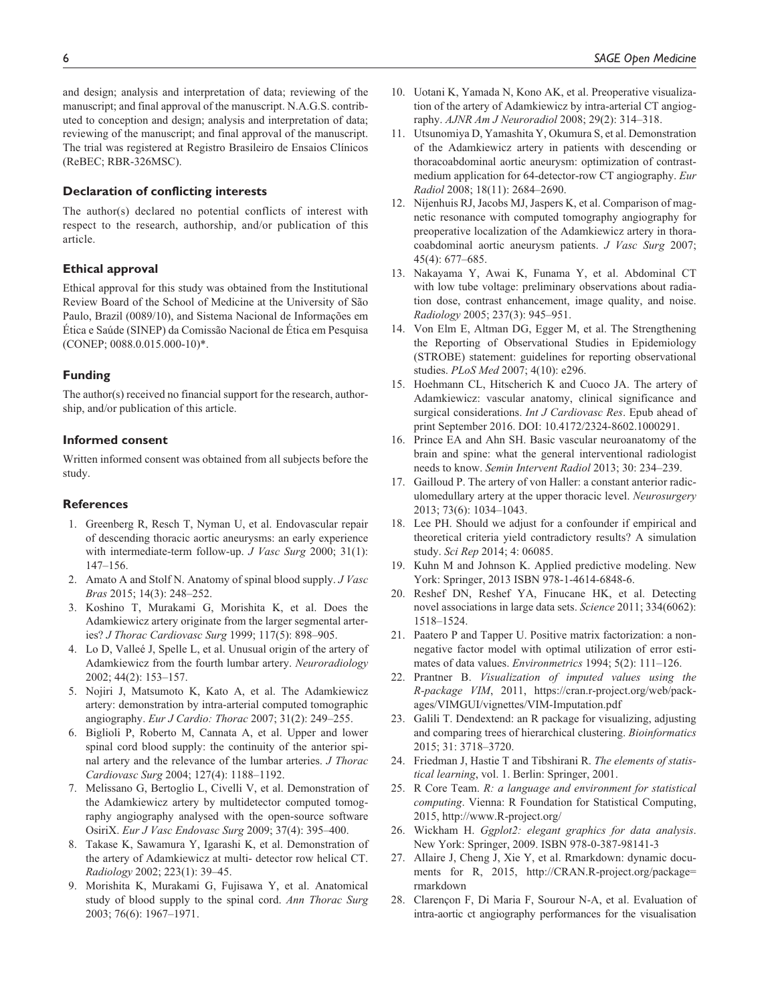and design; analysis and interpretation of data; reviewing of the manuscript; and final approval of the manuscript. N.A.G.S. contributed to conception and design; analysis and interpretation of data; reviewing of the manuscript; and final approval of the manuscript. The trial was registered at Registro Brasileiro de Ensaios Clínicos (ReBEC; RBR-326MSC).

#### **Declaration of conflicting interests**

The author(s) declared no potential conflicts of interest with respect to the research, authorship, and/or publication of this article.

#### **Ethical approval**

Ethical approval for this study was obtained from the Institutional Review Board of the School of Medicine at the University of São Paulo, Brazil (0089/10), and Sistema Nacional de Informações em Ética e Saúde (SINEP) da Comissão Nacional de Ética em Pesquisa (CONEP; 0088.0.015.000-10)\*.

#### **Funding**

The author(s) received no financial support for the research, authorship, and/or publication of this article.

#### **Informed consent**

Written informed consent was obtained from all subjects before the study.

#### **References**

- 1. Greenberg R, Resch T, Nyman U, et al. Endovascular repair of descending thoracic aortic aneurysms: an early experience with intermediate-term follow-up. *J Vasc Surg* 2000; 31(1): 147–156.
- 2. Amato A and Stolf N. Anatomy of spinal blood supply. *J Vasc Bras* 2015; 14(3): 248–252.
- 3. Koshino T, Murakami G, Morishita K, et al. Does the Adamkiewicz artery originate from the larger segmental arteries? *J Thorac Cardiovasc Surg* 1999; 117(5): 898–905.
- 4. Lo D, Valleé J, Spelle L, et al. Unusual origin of the artery of Adamkiewicz from the fourth lumbar artery. *Neuroradiology* 2002; 44(2): 153–157.
- 5. Nojiri J, Matsumoto K, Kato A, et al. The Adamkiewicz artery: demonstration by intra-arterial computed tomographic angiography. *Eur J Cardio: Thorac* 2007; 31(2): 249–255.
- 6. Biglioli P, Roberto M, Cannata A, et al. Upper and lower spinal cord blood supply: the continuity of the anterior spinal artery and the relevance of the lumbar arteries. *J Thorac Cardiovasc Surg* 2004; 127(4): 1188–1192.
- 7. Melissano G, Bertoglio L, Civelli V, et al. Demonstration of the Adamkiewicz artery by multidetector computed tomography angiography analysed with the open-source software OsiriX. *Eur J Vasc Endovasc Surg* 2009; 37(4): 395–400.
- 8. Takase K, Sawamura Y, Igarashi K, et al. Demonstration of the artery of Adamkiewicz at multi- detector row helical CT. *Radiology* 2002; 223(1): 39–45.
- 9. Morishita K, Murakami G, Fujisawa Y, et al. Anatomical study of blood supply to the spinal cord. *Ann Thorac Surg* 2003; 76(6): 1967–1971.
- 10. Uotani K, Yamada N, Kono AK, et al. Preoperative visualization of the artery of Adamkiewicz by intra-arterial CT angiography. *AJNR Am J Neuroradiol* 2008; 29(2): 314–318.
- 11. Utsunomiya D, Yamashita Y, Okumura S, et al. Demonstration of the Adamkiewicz artery in patients with descending or thoracoabdominal aortic aneurysm: optimization of contrastmedium application for 64-detector-row CT angiography. *Eur Radiol* 2008; 18(11): 2684–2690.
- 12. Nijenhuis RJ, Jacobs MJ, Jaspers K, et al. Comparison of magnetic resonance with computed tomography angiography for preoperative localization of the Adamkiewicz artery in thoracoabdominal aortic aneurysm patients. *J Vasc Surg* 2007; 45(4): 677–685.
- 13. Nakayama Y, Awai K, Funama Y, et al. Abdominal CT with low tube voltage: preliminary observations about radiation dose, contrast enhancement, image quality, and noise. *Radiology* 2005; 237(3): 945–951.
- 14. Von Elm E, Altman DG, Egger M, et al. The Strengthening the Reporting of Observational Studies in Epidemiology (STROBE) statement: guidelines for reporting observational studies. *PLoS Med* 2007; 4(10): e296.
- 15. Hoehmann CL, Hitscherich K and Cuoco JA. The artery of Adamkiewicz: vascular anatomy, clinical significance and surgical considerations. *Int J Cardiovasc Res*. Epub ahead of print September 2016. DOI: 10.4172/2324-8602.1000291.
- 16. Prince EA and Ahn SH. Basic vascular neuroanatomy of the brain and spine: what the general interventional radiologist needs to know. *Semin Intervent Radiol* 2013; 30: 234–239.
- 17. Gailloud P. The artery of von Haller: a constant anterior radiculomedullary artery at the upper thoracic level. *Neurosurgery* 2013; 73(6): 1034–1043.
- 18. Lee PH. Should we adjust for a confounder if empirical and theoretical criteria yield contradictory results? A simulation study. *Sci Rep* 2014; 4: 06085.
- 19. Kuhn M and Johnson K. Applied predictive modeling. New York: Springer, 2013 ISBN 978-1-4614-6848-6.
- 20. Reshef DN, Reshef YA, Finucane HK, et al. Detecting novel associations in large data sets. *Science* 2011; 334(6062): 1518–1524.
- 21. Paatero P and Tapper U. Positive matrix factorization: a nonnegative factor model with optimal utilization of error estimates of data values. *Environmetrics* 1994; 5(2): 111–126.
- 22. Prantner B. *Visualization of imputed values using the R-package VIM*, 2011, [https://cran.r-project.org/web/pack](https://cran.r-project.org/web/packages/VIMGUI/vignettes/VIM-Imputation.pdf)[ages/VIMGUI/vignettes/VIM-Imputation.pdf](https://cran.r-project.org/web/packages/VIMGUI/vignettes/VIM-Imputation.pdf)
- 23. Galili T. Dendextend: an R package for visualizing, adjusting and comparing trees of hierarchical clustering. *Bioinformatics* 2015; 31: 3718–3720.
- 24. Friedman J, Hastie T and Tibshirani R. *The elements of statistical learning*, vol. 1. Berlin: Springer, 2001.
- 25. R Core Team. *R: a language and environment for statistical computing*. Vienna: R Foundation for Statistical Computing, 2015,<http://www.R-project.org/>
- 26. Wickham H. *Ggplot2: elegant graphics for data analysis*. New York: Springer, 2009. ISBN 978-0-387-98141-3
- 27. Allaire J, Cheng J, Xie Y, et al. Rmarkdown: dynamic documents for R, 2015, [http://CRAN.R-project.org/package=](http://CRAN.R-project.org/package=rmarkdown) [rmarkdown](http://CRAN.R-project.org/package=rmarkdown)
- 28. Clarençon F, Di Maria F, Sourour N-A, et al. Evaluation of intra-aortic ct angiography performances for the visualisation